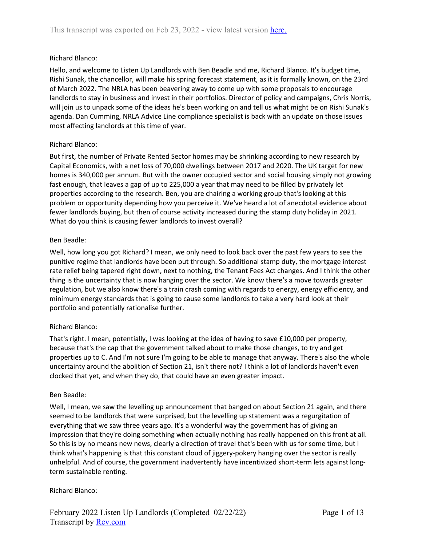# Richard Blanco:

Hello, and welcome to Listen Up Landlords with Ben Beadle and me, Richard Blanco. It's budget time, Rishi Sunak, the chancellor, will make his spring forecast statement, as it is formally known, on the 23rd of March 2022. The NRLA has been beavering away to come up with some proposals to encourage landlords to stay in business and invest in their portfolios. Director of policy and campaigns, Chris Norris, will join us to unpack some of the ideas he's been working on and tell us what might be on Rishi Sunak's agenda. Dan Cumming, NRLA Advice Line compliance specialist is back with an update on those issues most affecting landlords at this time of year.

# Richard Blanco:

But first, the number of Private Rented Sector homes may be shrinking according to new research by Capital Economics, with a net loss of 70,000 dwellings between 2017 and 2020. The UK target for new homes is 340,000 per annum. But with the owner occupied sector and social housing simply not growing fast enough, that leaves a gap of up to 225,000 a year that may need to be filled by privately let properties according to the research. Ben, you are chairing a working group that's looking at this problem or opportunity depending how you perceive it. We've heard a lot of anecdotal evidence about fewer landlords buying, but then of course activity increased during the stamp duty holiday in 2021. What do you think is causing fewer landlords to invest overall?

# Ben Beadle:

Well, how long you got Richard? I mean, we only need to look back over the past few years to see the punitive regime that landlords have been put through. So additional stamp duty, the mortgage interest rate relief being tapered right down, next to nothing, the Tenant Fees Act changes. And I think the other thing is the uncertainty that is now hanging over the sector. We know there's a move towards greater regulation, but we also know there's a train crash coming with regards to energy, energy efficiency, and minimum energy standards that is going to cause some landlords to take a very hard look at their portfolio and potentially rationalise further.

# Richard Blanco:

That's right. I mean, potentially, I was looking at the idea of having to save £10,000 per property, because that's the cap that the government talked about to make those changes, to try and get properties up to C. And I'm not sure I'm going to be able to manage that anyway. There's also the whole uncertainty around the abolition of Section 21, isn't there not? I think a lot of landlords haven't even clocked that yet, and when they do, that could have an even greater impact.

# Ben Beadle:

Well, I mean, we saw the levelling up announcement that banged on about Section 21 again, and there seemed to be landlords that were surprised, but the levelling up statement was a regurgitation of everything that we saw three years ago. It's a wonderful way the government has of giving an impression that they're doing something when actually nothing has really happened on this front at all. So this is by no means new news, clearly a direction of travel that's been with us for some time, but I think what's happening is that this constant cloud of jiggery-pokery hanging over the sector is really unhelpful. And of course, the government inadvertently have incentivized short-term lets against longterm sustainable renting.

# Richard Blanco: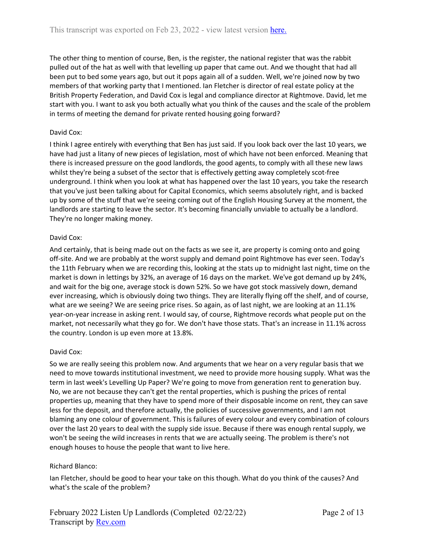The other thing to mention of course, Ben, is the register, the national register that was the rabbit pulled out of the hat as well with that levelling up paper that came out. And we thought that had all been put to bed some years ago, but out it pops again all of a sudden. Well, we're joined now by two members of that working party that I mentioned. Ian Fletcher is director of real estate policy at the British Property Federation, and David Cox is legal and compliance director at Rightmove. David, let me start with you. I want to ask you both actually what you think of the causes and the scale of the problem in terms of meeting the demand for private rented housing going forward?

### David Cox:

I think I agree entirely with everything that Ben has just said. If you look back over the last 10 years, we have had just a litany of new pieces of legislation, most of which have not been enforced. Meaning that there is increased pressure on the good landlords, the good agents, to comply with all these new laws whilst they're being a subset of the sector that is effectively getting away completely scot-free underground. I think when you look at what has happened over the last 10 years, you take the research that you've just been talking about for Capital Economics, which seems absolutely right, and is backed up by some of the stuff that we're seeing coming out of the English Housing Survey at the moment, the landlords are starting to leave the sector. It's becoming financially unviable to actually be a landlord. They're no longer making money.

### David Cox:

And certainly, that is being made out on the facts as we see it, are property is coming onto and going off-site. And we are probably at the worst supply and demand point Rightmove has ever seen. Today's the 11th February when we are recording this, looking at the stats up to midnight last night, time on the market is down in lettings by 32%, an average of 16 days on the market. We've got demand up by 24%, and wait for the big one, average stock is down 52%. So we have got stock massively down, demand ever increasing, which is obviously doing two things. They are literally flying off the shelf, and of course, what are we seeing? We are seeing price rises. So again, as of last night, we are looking at an 11.1% year-on-year increase in asking rent. I would say, of course, Rightmove records what people put on the market, not necessarily what they go for. We don't have those stats. That's an increase in 11.1% across the country. London is up even more at 13.8%.

### David Cox:

So we are really seeing this problem now. And arguments that we hear on a very regular basis that we need to move towards institutional investment, we need to provide more housing supply. What was the term in last week's Levelling Up Paper? We're going to move from generation rent to generation buy. No, we are not because they can't get the rental properties, which is pushing the prices of rental properties up, meaning that they have to spend more of their disposable income on rent, they can save less for the deposit, and therefore actually, the policies of successive governments, and I am not blaming any one colour of government. This is failures of every colour and every combination of colours over the last 20 years to deal with the supply side issue. Because if there was enough rental supply, we won't be seeing the wild increases in rents that we are actually seeing. The problem is there's not enough houses to house the people that want to live here.

# Richard Blanco:

Ian Fletcher, should be good to hear your take on this though. What do you think of the causes? And what's the scale of the problem?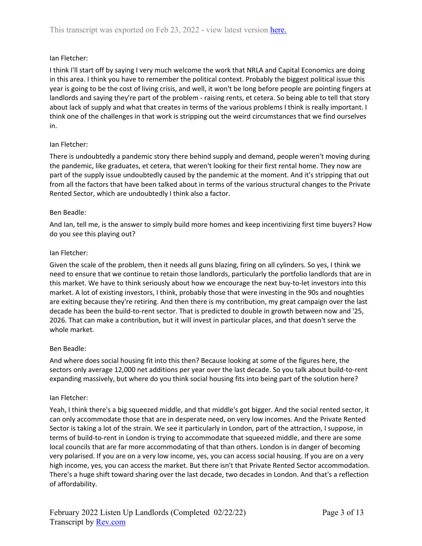# Ian Fletcher:

I think I'll start off by saying I very much welcome the work that NRLA and Capital Economics are doing in this area. I think you have to remember the political context. Probably the biggest political issue this year is going to be the cost of living crisis, and well, it won't be long before people are pointing fingers at landlords and saying they're part of the problem - raising rents, et cetera. So being able to tell that story about lack of supply and what that creates in terms of the various problems I think is really important. I think one of the challenges in that work is stripping out the weird circumstances that we find ourselves in.

# Ian Fletcher:

There is undoubtedly a pandemic story there behind supply and demand, people weren't moving during the pandemic, like graduates, et cetera, that weren't looking for their first rental home. They now are part of the supply issue undoubtedly caused by the pandemic at the moment. And it's stripping that out from all the factors that have been talked about in terms of the various structural changes to the Private Rented Sector, which are undoubtedly I think also a factor.

# Ben Beadle:

And Ian, tell me, is the answer to simply build more homes and keep incentivizing first time buyers? How do you see this playing out?

# Ian Fletcher:

Given the scale of the problem, then it needs all guns blazing, firing on all cylinders. So yes, I think we need to ensure that we continue to retain those landlords, particularly the portfolio landlords that are in this market. We have to think seriously about how we encourage the next buy-to-let investors into this market. A lot of existing investors, I think, probably those that were investing in the 90s and noughties are exiting because they're retiring. And then there is my contribution, my great campaign over the last decade has been the build-to-rent sector. That is predicted to double in growth between now and '25, 2026. That can make a contribution, but it will invest in particular places, and that doesn't serve the whole market.

# Ben Beadle:

And where does social housing fit into this then? Because looking at some of the figures here, the sectors only average 12,000 net additions per year over the last decade. So you talk about build-to-rent expanding massively, but where do you think social housing fits into being part of the solution here?

# Ian Fletcher:

Yeah, I think there's a big squeezed middle, and that middle's got bigger. And the social rented sector, it can only accommodate those that are in desperate need, on very low incomes. And the Private Rented Sector is taking a lot of the strain. We see it particularly in London, part of the attraction, I suppose, in terms of build-to-rent in London is trying to accommodate that squeezed middle, and there are some local councils that are far more accommodating of that than others. London is in danger of becoming very polarised. If you are on a very low income, yes, you can access social housing. If you are on a very high income, yes, you can access the market. But there isn't that Private Rented Sector accommodation. There's a huge shift toward sharing over the last decade, two decades in London. And that's a reflection of affordability.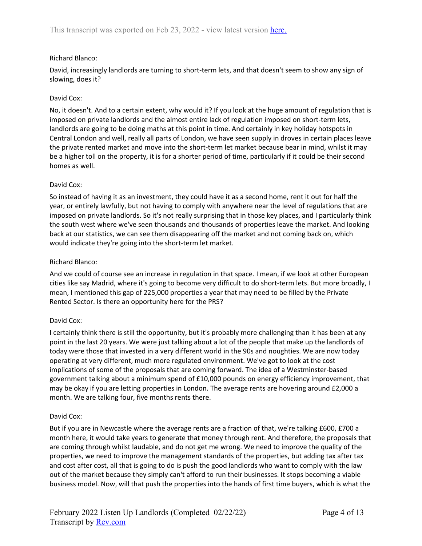### Richard Blanco:

David, increasingly landlords are turning to short-term lets, and that doesn't seem to show any sign of slowing, does it?

### David Cox:

No, it doesn't. And to a certain extent, why would it? If you look at the huge amount of regulation that is imposed on private landlords and the almost entire lack of regulation imposed on short-term lets, landlords are going to be doing maths at this point in time. And certainly in key holiday hotspots in Central London and well, really all parts of London, we have seen supply in droves in certain places leave the private rented market and move into the short-term let market because bear in mind, whilst it may be a higher toll on the property, it is for a shorter period of time, particularly if it could be their second homes as well.

### David Cox:

So instead of having it as an investment, they could have it as a second home, rent it out for half the year, or entirely lawfully, but not having to comply with anywhere near the level of regulations that are imposed on private landlords. So it's not really surprising that in those key places, and I particularly think the south west where we've seen thousands and thousands of properties leave the market. And looking back at our statistics, we can see them disappearing off the market and not coming back on, which would indicate they're going into the short-term let market.

### Richard Blanco:

And we could of course see an increase in regulation in that space. I mean, if we look at other European cities like say Madrid, where it's going to become very difficult to do short-term lets. But more broadly, I mean, I mentioned this gap of 225,000 properties a year that may need to be filled by the Private Rented Sector. Is there an opportunity here for the PRS?

# David Cox:

I certainly think there is still the opportunity, but it's probably more challenging than it has been at any point in the last 20 years. We were just talking about a lot of the people that make up the landlords of today were those that invested in a very different world in the 90s and noughties. We are now today operating at very different, much more regulated environment. We've got to look at the cost implications of some of the proposals that are coming forward. The idea of a Westminster-based government talking about a minimum spend of £10,000 pounds on energy efficiency improvement, that may be okay if you are letting properties in London. The average rents are hovering around £2,000 a month. We are talking four, five months rents there.

### David Cox:

But if you are in Newcastle where the average rents are a fraction of that, we're talking £600, £700 a month here, it would take years to generate that money through rent. And therefore, the proposals that are coming through whilst laudable, and do not get me wrong. We need to improve the quality of the properties, we need to improve the management standards of the properties, but adding tax after tax and cost after cost, all that is going to do is push the good landlords who want to comply with the law out of the market because they simply can't afford to run their businesses. It stops becoming a viable business model. Now, will that push the properties into the hands of first time buyers, which is what the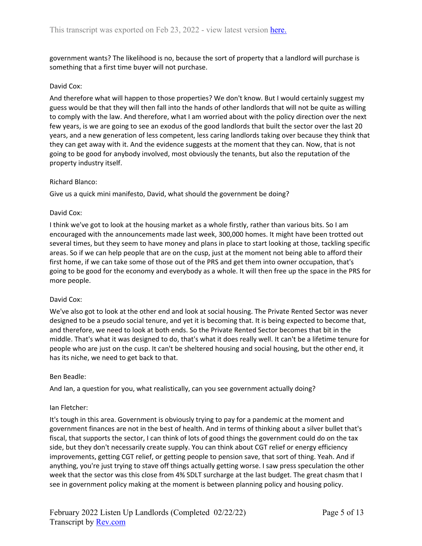government wants? The likelihood is no, because the sort of property that a landlord will purchase is something that a first time buyer will not purchase.

### David Cox:

And therefore what will happen to those properties? We don't know. But I would certainly suggest my guess would be that they will then fall into the hands of other landlords that will not be quite as willing to comply with the law. And therefore, what I am worried about with the policy direction over the next few years, is we are going to see an exodus of the good landlords that built the sector over the last 20 years, and a new generation of less competent, less caring landlords taking over because they think that they can get away with it. And the evidence suggests at the moment that they can. Now, that is not going to be good for anybody involved, most obviously the tenants, but also the reputation of the property industry itself.

#### Richard Blanco:

Give us a quick mini manifesto, David, what should the government be doing?

#### David Cox:

I think we've got to look at the housing market as a whole firstly, rather than various bits. So I am encouraged with the announcements made last week, 300,000 homes. It might have been trotted out several times, but they seem to have money and plans in place to start looking at those, tackling specific areas. So if we can help people that are on the cusp, just at the moment not being able to afford their first home, if we can take some of those out of the PRS and get them into owner occupation, that's going to be good for the economy and everybody as a whole. It will then free up the space in the PRS for more people.

### David Cox:

We've also got to look at the other end and look at social housing. The Private Rented Sector was never designed to be a pseudo social tenure, and yet it is becoming that. It is being expected to become that, and therefore, we need to look at both ends. So the Private Rented Sector becomes that bit in the middle. That's what it was designed to do, that's what it does really well. It can't be a lifetime tenure for people who are just on the cusp. It can't be sheltered housing and social housing, but the other end, it has its niche, we need to get back to that.

#### Ben Beadle:

And Ian, a question for you, what realistically, can you see government actually doing?

### Ian Fletcher:

It's tough in this area. Government is obviously trying to pay for a pandemic at the moment and government finances are not in the best of health. And in terms of thinking about a silver bullet that's fiscal, that supports the sector, I can think of lots of good things the government could do on the tax side, but they don't necessarily create supply. You can think about CGT relief or energy efficiency improvements, getting CGT relief, or getting people to pension save, that sort of thing. Yeah. And if anything, you're just trying to stave off things actually getting worse. I saw press speculation the other week that the sector was this close from 4% SDLT surcharge at the last budget. The great chasm that I see in government policy making at the moment is between planning policy and housing policy.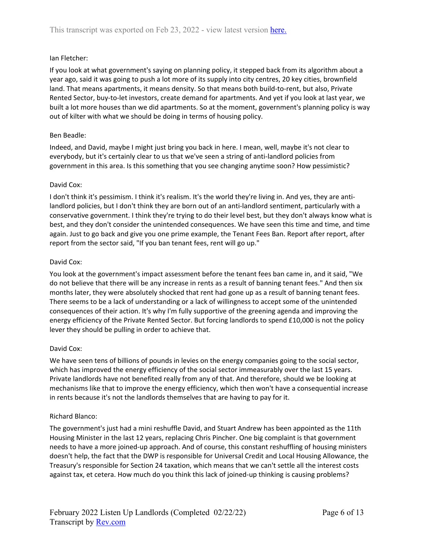### Ian Fletcher:

If you look at what government's saying on planning policy, it stepped back from its algorithm about a year ago, said it was going to push a lot more of its supply into city centres, 20 key cities, brownfield land. That means apartments, it means density. So that means both build-to-rent, but also, Private Rented Sector, buy-to-let investors, create demand for apartments. And yet if you look at last year, we built a lot more houses than we did apartments. So at the moment, government's planning policy is way out of kilter with what we should be doing in terms of housing policy.

### Ben Beadle:

Indeed, and David, maybe I might just bring you back in here. I mean, well, maybe it's not clear to everybody, but it's certainly clear to us that we've seen a string of anti-landlord policies from government in this area. Is this something that you see changing anytime soon? How pessimistic?

#### David Cox:

I don't think it's pessimism. I think it's realism. It's the world they're living in. And yes, they are antilandlord policies, but I don't think they are born out of an anti-landlord sentiment, particularly with a conservative government. I think they're trying to do their level best, but they don't always know what is best, and they don't consider the unintended consequences. We have seen this time and time, and time again. Just to go back and give you one prime example, the Tenant Fees Ban. Report after report, after report from the sector said, "If you ban tenant fees, rent will go up."

#### David Cox:

You look at the government's impact assessment before the tenant fees ban came in, and it said, "We do not believe that there will be any increase in rents as a result of banning tenant fees." And then six months later, they were absolutely shocked that rent had gone up as a result of banning tenant fees. There seems to be a lack of understanding or a lack of willingness to accept some of the unintended consequences of their action. It's why I'm fully supportive of the greening agenda and improving the energy efficiency of the Private Rented Sector. But forcing landlords to spend £10,000 is not the policy lever they should be pulling in order to achieve that.

### David Cox:

We have seen tens of billions of pounds in levies on the energy companies going to the social sector, which has improved the energy efficiency of the social sector immeasurably over the last 15 years. Private landlords have not benefited really from any of that. And therefore, should we be looking at mechanisms like that to improve the energy efficiency, which then won't have a consequential increase in rents because it's not the landlords themselves that are having to pay for it.

### Richard Blanco:

The government's just had a mini reshuffle David, and Stuart Andrew has been appointed as the 11th Housing Minister in the last 12 years, replacing Chris Pincher. One big complaint is that government needs to have a more joined-up approach. And of course, this constant reshuffling of housing ministers doesn't help, the fact that the DWP is responsible for Universal Credit and Local Housing Allowance, the Treasury's responsible for Section 24 taxation, which means that we can't settle all the interest costs against tax, et cetera. How much do you think this lack of joined-up thinking is causing problems?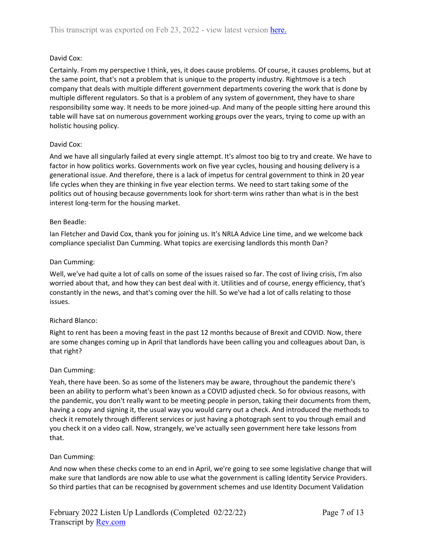# David Cox:

Certainly. From my perspective I think, yes, it does cause problems. Of course, it causes problems, but at the same point, that's not a problem that is unique to the property industry. Rightmove is a tech company that deals with multiple different government departments covering the work that is done by multiple different regulators. So that is a problem of any system of government, they have to share responsibility some way. It needs to be more joined-up. And many of the people sitting here around this table will have sat on numerous government working groups over the years, trying to come up with an holistic housing policy.

# David Cox:

And we have all singularly failed at every single attempt. It's almost too big to try and create. We have to factor in how politics works. Governments work on five year cycles, housing and housing delivery is a generational issue. And therefore, there is a lack of impetus for central government to think in 20 year life cycles when they are thinking in five year election terms. We need to start taking some of the politics out of housing because governments look for short-term wins rather than what is in the best interest long-term for the housing market.

# Ben Beadle:

Ian Fletcher and David Cox, thank you for joining us. It's NRLA Advice Line time, and we welcome back compliance specialist Dan Cumming. What topics are exercising landlords this month Dan?

# Dan Cumming:

Well, we've had quite a lot of calls on some of the issues raised so far. The cost of living crisis, I'm also worried about that, and how they can best deal with it. Utilities and of course, energy efficiency, that's constantly in the news, and that's coming over the hill. So we've had a lot of calls relating to those issues.

# Richard Blanco:

Right to rent has been a moving feast in the past 12 months because of Brexit and COVID. Now, there are some changes coming up in April that landlords have been calling you and colleagues about Dan, is that right?

# Dan Cumming:

Yeah, there have been. So as some of the listeners may be aware, throughout the pandemic there's been an ability to perform what's been known as a COVID adjusted check. So for obvious reasons, with the pandemic, you don't really want to be meeting people in person, taking their documents from them, having a copy and signing it, the usual way you would carry out a check. And introduced the methods to check it remotely through different services or just having a photograph sent to you through email and you check it on a video call. Now, strangely, we've actually seen government here take lessons from that.

# Dan Cumming:

And now when these checks come to an end in April, we're going to see some legislative change that will make sure that landlords are now able to use what the government is calling Identity Service Providers. So third parties that can be recognised by government schemes and use Identity Document Validation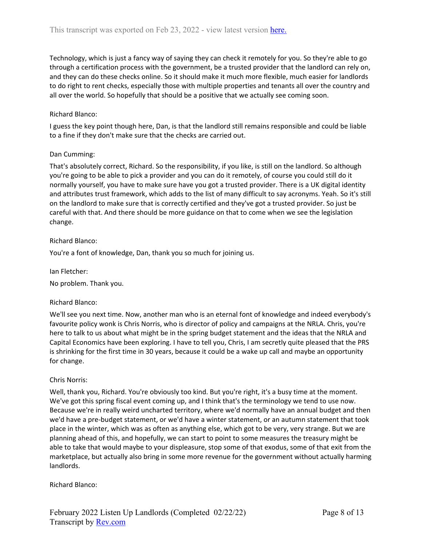Technology, which is just a fancy way of saying they can check it remotely for you. So they're able to go through a certification process with the government, be a trusted provider that the landlord can rely on, and they can do these checks online. So it should make it much more flexible, much easier for landlords to do right to rent checks, especially those with multiple properties and tenants all over the country and all over the world. So hopefully that should be a positive that we actually see coming soon.

### Richard Blanco:

I guess the key point though here, Dan, is that the landlord still remains responsible and could be liable to a fine if they don't make sure that the checks are carried out.

### Dan Cumming:

That's absolutely correct, Richard. So the responsibility, if you like, is still on the landlord. So although you're going to be able to pick a provider and you can do it remotely, of course you could still do it normally yourself, you have to make sure have you got a trusted provider. There is a UK digital identity and attributes trust framework, which adds to the list of many difficult to say acronyms. Yeah. So it's still on the landlord to make sure that is correctly certified and they've got a trusted provider. So just be careful with that. And there should be more guidance on that to come when we see the legislation change.

### Richard Blanco:

You're a font of knowledge, Dan, thank you so much for joining us.

Ian Fletcher:

No problem. Thank you.

### Richard Blanco:

We'll see you next time. Now, another man who is an eternal font of knowledge and indeed everybody's favourite policy wonk is Chris Norris, who is director of policy and campaigns at the NRLA. Chris, you're here to talk to us about what might be in the spring budget statement and the ideas that the NRLA and Capital Economics have been exploring. I have to tell you, Chris, I am secretly quite pleased that the PRS is shrinking for the first time in 30 years, because it could be a wake up call and maybe an opportunity for change.

### Chris Norris:

Well, thank you, Richard. You're obviously too kind. But you're right, it's a busy time at the moment. We've got this spring fiscal event coming up, and I think that's the terminology we tend to use now. Because we're in really weird uncharted territory, where we'd normally have an annual budget and then we'd have a pre-budget statement, or we'd have a winter statement, or an autumn statement that took place in the winter, which was as often as anything else, which got to be very, very strange. But we are planning ahead of this, and hopefully, we can start to point to some measures the treasury might be able to take that would maybe to your displeasure, stop some of that exodus, some of that exit from the marketplace, but actually also bring in some more revenue for the government without actually harming landlords.

### Richard Blanco: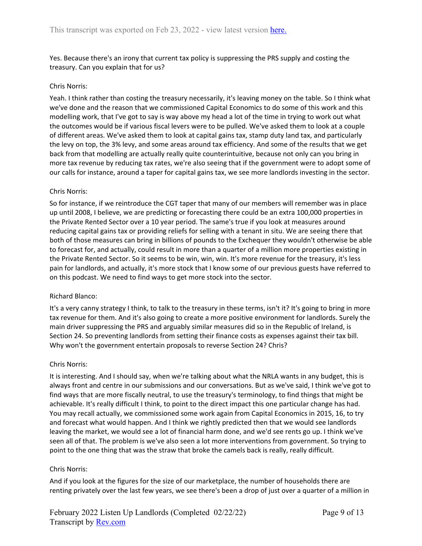Yes. Because there's an irony that current tax policy is suppressing the PRS supply and costing the treasury. Can you explain that for us?

### Chris Norris:

Yeah. I think rather than costing the treasury necessarily, it's leaving money on the table. So I think what we've done and the reason that we commissioned Capital Economics to do some of this work and this modelling work, that I've got to say is way above my head a lot of the time in trying to work out what the outcomes would be if various fiscal levers were to be pulled. We've asked them to look at a couple of different areas. We've asked them to look at capital gains tax, stamp duty land tax, and particularly the levy on top, the 3% levy, and some areas around tax efficiency. And some of the results that we get back from that modelling are actually really quite counterintuitive, because not only can you bring in more tax revenue by reducing tax rates, we're also seeing that if the government were to adopt some of our calls for instance, around a taper for capital gains tax, we see more landlords investing in the sector.

### Chris Norris:

So for instance, if we reintroduce the CGT taper that many of our members will remember was in place up until 2008, I believe, we are predicting or forecasting there could be an extra 100,000 properties in the Private Rented Sector over a 10 year period. The same's true if you look at measures around reducing capital gains tax or providing reliefs for selling with a tenant in situ. We are seeing there that both of those measures can bring in billions of pounds to the Exchequer they wouldn't otherwise be able to forecast for, and actually, could result in more than a quarter of a million more properties existing in the Private Rented Sector. So it seems to be win, win, win. It's more revenue for the treasury, it's less pain for landlords, and actually, it's more stock that I know some of our previous guests have referred to on this podcast. We need to find ways to get more stock into the sector.

### Richard Blanco:

It's a very canny strategy I think, to talk to the treasury in these terms, isn't it? It's going to bring in more tax revenue for them. And it's also going to create a more positive environment for landlords. Surely the main driver suppressing the PRS and arguably similar measures did so in the Republic of Ireland, is Section 24. So preventing landlords from setting their finance costs as expenses against their tax bill. Why won't the government entertain proposals to reverse Section 24? Chris?

### Chris Norris:

It is interesting. And I should say, when we're talking about what the NRLA wants in any budget, this is always front and centre in our submissions and our conversations. But as we've said, I think we've got to find ways that are more fiscally neutral, to use the treasury's terminology, to find things that might be achievable. It's really difficult I think, to point to the direct impact this one particular change has had. You may recall actually, we commissioned some work again from Capital Economics in 2015, 16, to try and forecast what would happen. And I think we rightly predicted then that we would see landlords leaving the market, we would see a lot of financial harm done, and we'd see rents go up. I think we've seen all of that. The problem is we've also seen a lot more interventions from government. So trying to point to the one thing that was the straw that broke the camels back is really, really difficult.

### Chris Norris:

And if you look at the figures for the size of our marketplace, the number of households there are renting privately over the last few years, we see there's been a drop of just over a quarter of a million in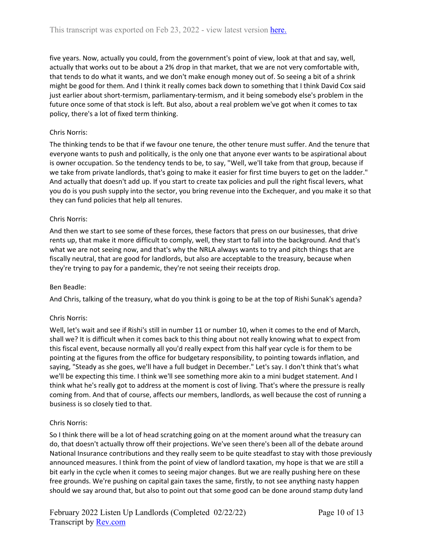five years. Now, actually you could, from the government's point of view, look at that and say, well, actually that works out to be about a 2% drop in that market, that we are not very comfortable with, that tends to do what it wants, and we don't make enough money out of. So seeing a bit of a shrink might be good for them. And I think it really comes back down to something that I think David Cox said just earlier about short-termism, parliamentary-termism, and it being somebody else's problem in the future once some of that stock is left. But also, about a real problem we've got when it comes to tax policy, there's a lot of fixed term thinking.

### Chris Norris:

The thinking tends to be that if we favour one tenure, the other tenure must suffer. And the tenure that everyone wants to push and politically, is the only one that anyone ever wants to be aspirational about is owner occupation. So the tendency tends to be, to say, "Well, we'll take from that group, because if we take from private landlords, that's going to make it easier for first time buyers to get on the ladder." And actually that doesn't add up. If you start to create tax policies and pull the right fiscal levers, what you do is you push supply into the sector, you bring revenue into the Exchequer, and you make it so that they can fund policies that help all tenures.

### Chris Norris:

And then we start to see some of these forces, these factors that press on our businesses, that drive rents up, that make it more difficult to comply, well, they start to fall into the background. And that's what we are not seeing now, and that's why the NRLA always wants to try and pitch things that are fiscally neutral, that are good for landlords, but also are acceptable to the treasury, because when they're trying to pay for a pandemic, they're not seeing their receipts drop.

### Ben Beadle:

And Chris, talking of the treasury, what do you think is going to be at the top of Rishi Sunak's agenda?

### Chris Norris:

Well, let's wait and see if Rishi's still in number 11 or number 10, when it comes to the end of March, shall we? It is difficult when it comes back to this thing about not really knowing what to expect from this fiscal event, because normally all you'd really expect from this half year cycle is for them to be pointing at the figures from the office for budgetary responsibility, to pointing towards inflation, and saying, "Steady as she goes, we'll have a full budget in December." Let's say. I don't think that's what we'll be expecting this time. I think we'll see something more akin to a mini budget statement. And I think what he's really got to address at the moment is cost of living. That's where the pressure is really coming from. And that of course, affects our members, landlords, as well because the cost of running a business is so closely tied to that.

# Chris Norris:

So I think there will be a lot of head scratching going on at the moment around what the treasury can do, that doesn't actually throw off their projections. We've seen there's been all of the debate around National Insurance contributions and they really seem to be quite steadfast to stay with those previously announced measures. I think from the point of view of landlord taxation, my hope is that we are still a bit early in the cycle when it comes to seeing major changes. But we are really pushing here on these free grounds. We're pushing on capital gain taxes the same, firstly, to not see anything nasty happen should we say around that, but also to point out that some good can be done around stamp duty land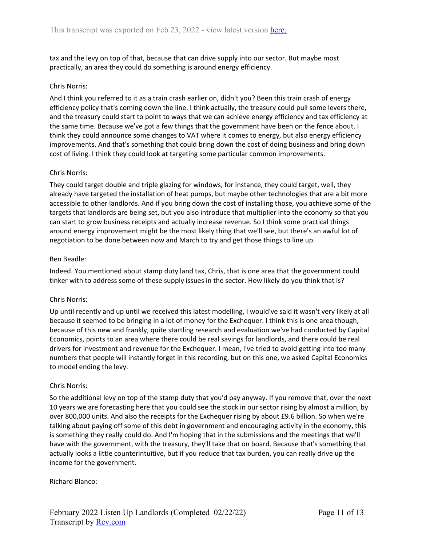tax and the levy on top of that, because that can drive supply into our sector. But maybe most practically, an area they could do something is around energy efficiency.

### Chris Norris:

And I think you referred to it as a train crash earlier on, didn't you? Been this train crash of energy efficiency policy that's coming down the line. I think actually, the treasury could pull some levers there, and the treasury could start to point to ways that we can achieve energy efficiency and tax efficiency at the same time. Because we've got a few things that the government have been on the fence about. I think they could announce some changes to VAT where it comes to energy, but also energy efficiency improvements. And that's something that could bring down the cost of doing business and bring down cost of living. I think they could look at targeting some particular common improvements.

### Chris Norris:

They could target double and triple glazing for windows, for instance, they could target, well, they already have targeted the installation of heat pumps, but maybe other technologies that are a bit more accessible to other landlords. And if you bring down the cost of installing those, you achieve some of the targets that landlords are being set, but you also introduce that multiplier into the economy so that you can start to grow business receipts and actually increase revenue. So I think some practical things around energy improvement might be the most likely thing that we'll see, but there's an awful lot of negotiation to be done between now and March to try and get those things to line up.

### Ben Beadle:

Indeed. You mentioned about stamp duty land tax, Chris, that is one area that the government could tinker with to address some of these supply issues in the sector. How likely do you think that is?

# Chris Norris:

Up until recently and up until we received this latest modelling, I would've said it wasn't very likely at all because it seemed to be bringing in a lot of money for the Exchequer. I think this is one area though, because of this new and frankly, quite startling research and evaluation we've had conducted by Capital Economics, points to an area where there could be real savings for landlords, and there could be real drivers for investment and revenue for the Exchequer. I mean, I've tried to avoid getting into too many numbers that people will instantly forget in this recording, but on this one, we asked Capital Economics to model ending the levy.

### Chris Norris:

So the additional levy on top of the stamp duty that you'd pay anyway. If you remove that, over the next 10 years we are forecasting here that you could see the stock in our sector rising by almost a million, by over 800,000 units. And also the receipts for the Exchequer rising by about £9.6 billion. So when we're talking about paying off some of this debt in government and encouraging activity in the economy, this is something they really could do. And I'm hoping that in the submissions and the meetings that we'll have with the government, with the treasury, they'll take that on board. Because that's something that actually looks a little counterintuitive, but if you reduce that tax burden, you can really drive up the income for the government.

### Richard Blanco: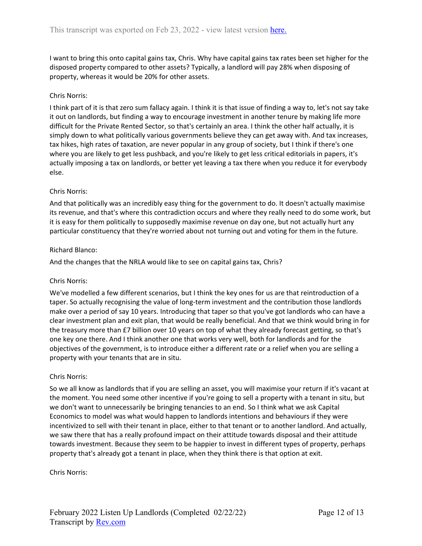I want to bring this onto capital gains tax, Chris. Why have capital gains tax rates been set higher for the disposed property compared to other assets? Typically, a landlord will pay 28% when disposing of property, whereas it would be 20% for other assets.

### Chris Norris:

I think part of it is that zero sum fallacy again. I think it is that issue of finding a way to, let's not say take it out on landlords, but finding a way to encourage investment in another tenure by making life more difficult for the Private Rented Sector, so that's certainly an area. I think the other half actually, it is simply down to what politically various governments believe they can get away with. And tax increases, tax hikes, high rates of taxation, are never popular in any group of society, but I think if there's one where you are likely to get less pushback, and you're likely to get less critical editorials in papers, it's actually imposing a tax on landlords, or better yet leaving a tax there when you reduce it for everybody else.

### Chris Norris:

And that politically was an incredibly easy thing for the government to do. It doesn't actually maximise its revenue, and that's where this contradiction occurs and where they really need to do some work, but it is easy for them politically to supposedly maximise revenue on day one, but not actually hurt any particular constituency that they're worried about not turning out and voting for them in the future.

### Richard Blanco:

And the changes that the NRLA would like to see on capital gains tax, Chris?

### Chris Norris:

We've modelled a few different scenarios, but I think the key ones for us are that reintroduction of a taper. So actually recognising the value of long-term investment and the contribution those landlords make over a period of say 10 years. Introducing that taper so that you've got landlords who can have a clear investment plan and exit plan, that would be really beneficial. And that we think would bring in for the treasury more than £7 billion over 10 years on top of what they already forecast getting, so that's one key one there. And I think another one that works very well, both for landlords and for the objectives of the government, is to introduce either a different rate or a relief when you are selling a property with your tenants that are in situ.

### Chris Norris:

So we all know as landlords that if you are selling an asset, you will maximise your return if it's vacant at the moment. You need some other incentive if you're going to sell a property with a tenant in situ, but we don't want to unnecessarily be bringing tenancies to an end. So I think what we ask Capital Economics to model was what would happen to landlords intentions and behaviours if they were incentivized to sell with their tenant in place, either to that tenant or to another landlord. And actually, we saw there that has a really profound impact on their attitude towards disposal and their attitude towards investment. Because they seem to be happier to invest in different types of property, perhaps property that's already got a tenant in place, when they think there is that option at exit.

Chris Norris: